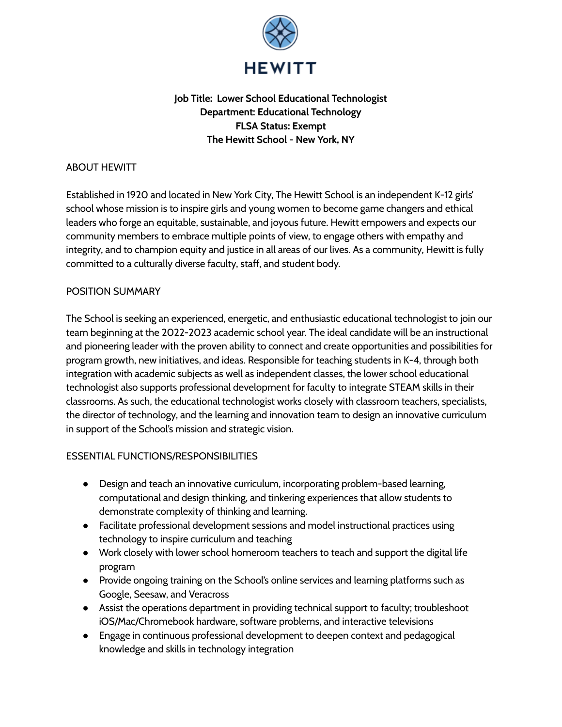

# **Job Title: Lower School Educational Technologist Department: Educational Technology FLSA Status: Exempt The Hewitt School - New York, NY**

### ABOUT HEWITT

Established in 1920 and located in New York City, The Hewitt School is an independent K-12 girls' school whose mission is to inspire girls and young women to become game changers and ethical leaders who forge an equitable, sustainable, and joyous future. Hewitt empowers and expects our community members to embrace multiple points of view, to engage others with empathy and integrity, and to champion equity and justice in all areas of our lives. As a community, Hewitt is fully committed to a culturally diverse faculty, staff, and student body.

#### POSITION SUMMARY

The School is seeking an experienced, energetic, and enthusiastic educational technologist to join our team beginning at the 2022-2023 academic school year. The ideal candidate will be an instructional and pioneering leader with the proven ability to connect and create opportunities and possibilities for program growth, new initiatives, and ideas. Responsible for teaching students in K-4, through both integration with academic subjects as well as independent classes, the lower school educational technologist also supports professional development for faculty to integrate STEAM skills in their classrooms. As such, the educational technologist works closely with classroom teachers, specialists, the director of technology, and the learning and innovation team to design an innovative curriculum in support of the School's mission and strategic vision.

## ESSENTIAL FUNCTIONS/RESPONSIBILITIES

- Design and teach an innovative curriculum, incorporating problem-based learning, computational and design thinking, and tinkering experiences that allow students to demonstrate complexity of thinking and learning.
- Facilitate professional development sessions and model instructional practices using technology to inspire curriculum and teaching
- Work closely with lower school homeroom teachers to teach and support the digital life program
- Provide ongoing training on the School's online services and learning platforms such as Google, Seesaw, and Veracross
- Assist the operations department in providing technical support to faculty; troubleshoot iOS/Mac/Chromebook hardware, software problems, and interactive televisions
- Engage in continuous professional development to deepen context and pedagogical knowledge and skills in technology integration